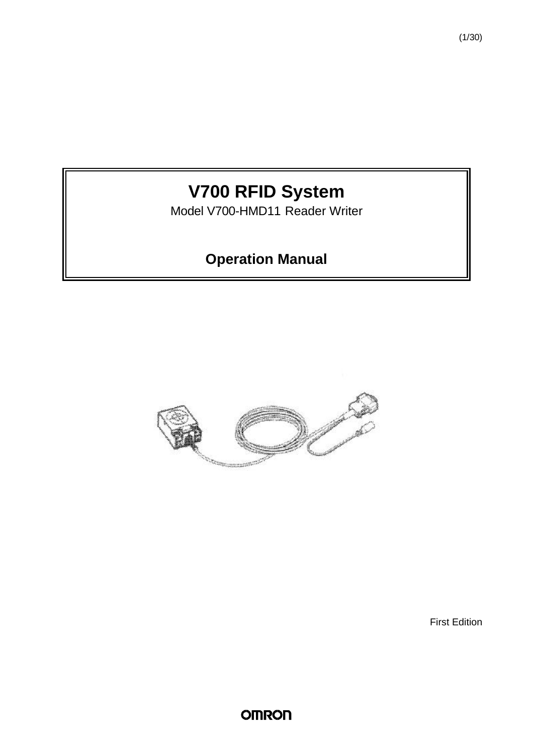# **V700 RFID System**

Model V700-HMD11 Reader Writer

# **Operation Manual**



First Edition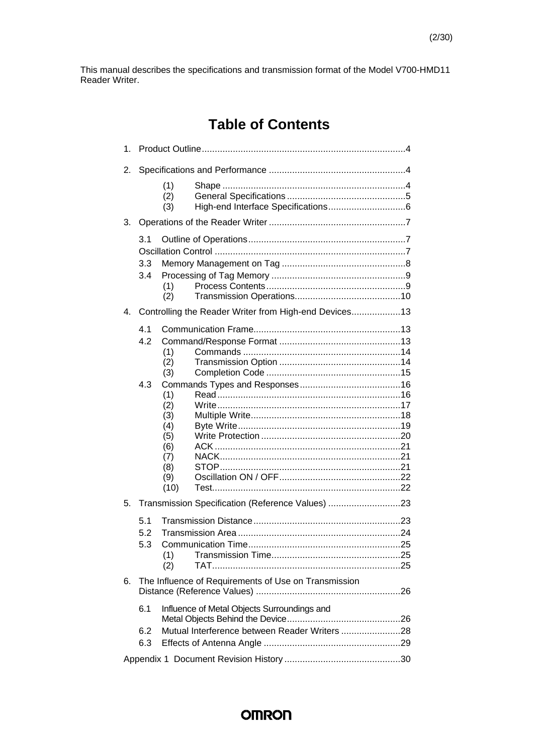This manual describes the specifications and transmission format of the Model V700-HMD11 Reader Writer.

# **Table of Contents**

| 1. |                   |                                                              |                                                                                              |  |  |  |  |
|----|-------------------|--------------------------------------------------------------|----------------------------------------------------------------------------------------------|--|--|--|--|
| 2. |                   |                                                              |                                                                                              |  |  |  |  |
|    |                   | (1)<br>(2)<br>(3)                                            |                                                                                              |  |  |  |  |
| 3. |                   |                                                              |                                                                                              |  |  |  |  |
|    | 3.1<br>3.3        |                                                              |                                                                                              |  |  |  |  |
|    | 3.4               | (1)<br>(2)                                                   |                                                                                              |  |  |  |  |
| 4. |                   |                                                              | Controlling the Reader Writer from High-end Devices13                                        |  |  |  |  |
|    | 4.1<br>4.2<br>4.3 | (1)<br>(2)<br>(3)<br>(1)                                     |                                                                                              |  |  |  |  |
|    |                   | (2)<br>(3)<br>(4)<br>(5)<br>(6)<br>(7)<br>(8)<br>(9)<br>(10) |                                                                                              |  |  |  |  |
| 5. |                   |                                                              | Transmission Specification (Reference Values) 23                                             |  |  |  |  |
|    | 5.1<br>5.2<br>5.3 | (1)<br>(2)                                                   |                                                                                              |  |  |  |  |
| 6. |                   |                                                              | The Influence of Requirements of Use on Transmission                                         |  |  |  |  |
|    | 6.1<br>6.2<br>6.3 |                                                              | Influence of Metal Objects Surroundings and<br>Mutual Interference between Reader Writers 28 |  |  |  |  |
|    |                   |                                                              |                                                                                              |  |  |  |  |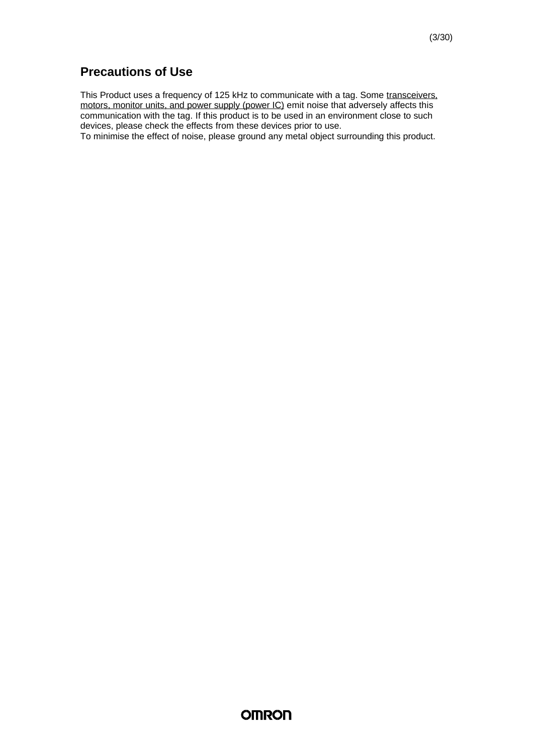### **Precautions of Use**

This Product uses a frequency of 125 kHz to communicate with a tag. Some transceivers, motors, monitor units, and power supply (power IC) emit noise that adversely affects this communication with the tag. If this product is to be used in an environment close to such devices, please check the effects from these devices prior to use.

To minimise the effect of noise, please ground any metal object surrounding this product.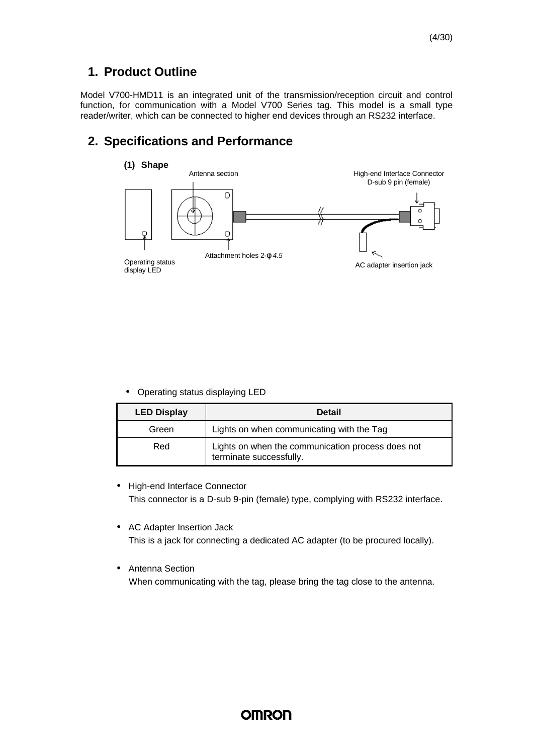### **1. Product Outline**

Model V700-HMD11 is an integrated unit of the transmission/reception circuit and control function, for communication with a Model V700 Series tag. This model is a small type reader/writer, which can be connected to higher end devices through an RS232 interface.

### **2. Specifications and Performance**



• Operating status displaying LED

| <b>LED Display</b> | <b>Detail</b>                                                                |
|--------------------|------------------------------------------------------------------------------|
| Green              | Lights on when communicating with the Tag                                    |
| Red                | Lights on when the communication process does not<br>terminate successfully. |

- High-end Interface Connector This connector is a D-sub 9-pin (female) type, complying with RS232 interface.
- AC Adapter Insertion Jack This is a jack for connecting a dedicated AC adapter (to be procured locally).
- Antenna Section

When communicating with the tag, please bring the tag close to the antenna.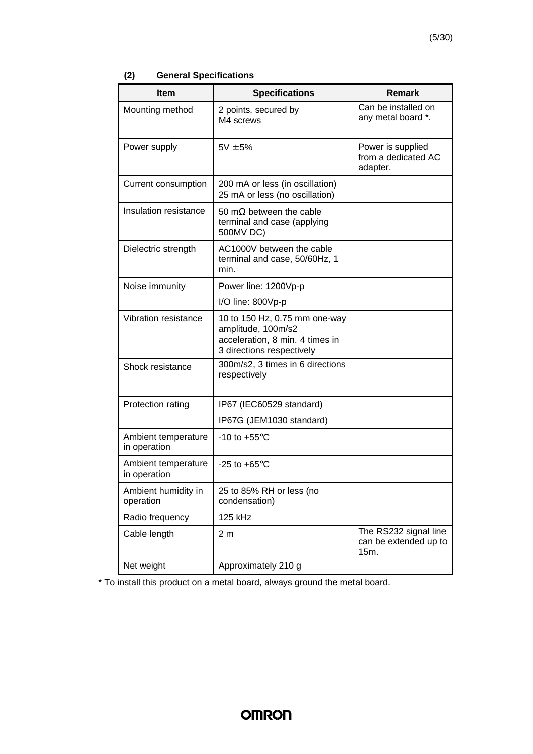| (2) |  | <b>General Specifications</b> |
|-----|--|-------------------------------|
|-----|--|-------------------------------|

| <b>Item</b>                         | <b>Specifications</b>                                                                                               | <b>Remark</b>                                          |
|-------------------------------------|---------------------------------------------------------------------------------------------------------------------|--------------------------------------------------------|
| Mounting method                     | 2 points, secured by<br>M4 screws                                                                                   | Can be installed on<br>any metal board *.              |
| Power supply                        | $5V \pm 5%$                                                                                                         | Power is supplied<br>from a dedicated AC<br>adapter.   |
| <b>Current consumption</b>          | 200 mA or less (in oscillation)<br>25 mA or less (no oscillation)                                                   |                                                        |
| Insulation resistance               | 50 m $\Omega$ between the cable<br>terminal and case (applying<br>500MV DC)                                         |                                                        |
| Dielectric strength                 | AC1000V between the cable<br>terminal and case, 50/60Hz, 1<br>min.                                                  |                                                        |
| Noise immunity                      | Power line: 1200Vp-p                                                                                                |                                                        |
|                                     | I/O line: 800Vp-p                                                                                                   |                                                        |
| Vibration resistance                | 10 to 150 Hz, 0.75 mm one-way<br>amplitude, 100m/s2<br>acceleration, 8 min. 4 times in<br>3 directions respectively |                                                        |
| Shock resistance                    | 300m/s2, 3 times in 6 directions<br>respectively                                                                    |                                                        |
| Protection rating                   | IP67 (IEC60529 standard)                                                                                            |                                                        |
|                                     | IP67G (JEM1030 standard)                                                                                            |                                                        |
| Ambient temperature<br>in operation | -10 to $+55^{\circ}$ C                                                                                              |                                                        |
| Ambient temperature<br>in operation | -25 to $+65^{\circ}$ C                                                                                              |                                                        |
| Ambient humidity in<br>operation    | 25 to 85% RH or less (no<br>condensation)                                                                           |                                                        |
| Radio frequency                     | 125 kHz                                                                                                             |                                                        |
| Cable length                        | 2 <sub>m</sub>                                                                                                      | The RS232 signal line<br>can be extended up to<br>15m. |
| Net weight                          | Approximately 210 g                                                                                                 |                                                        |

\* To install this product on a metal board, always ground the metal board.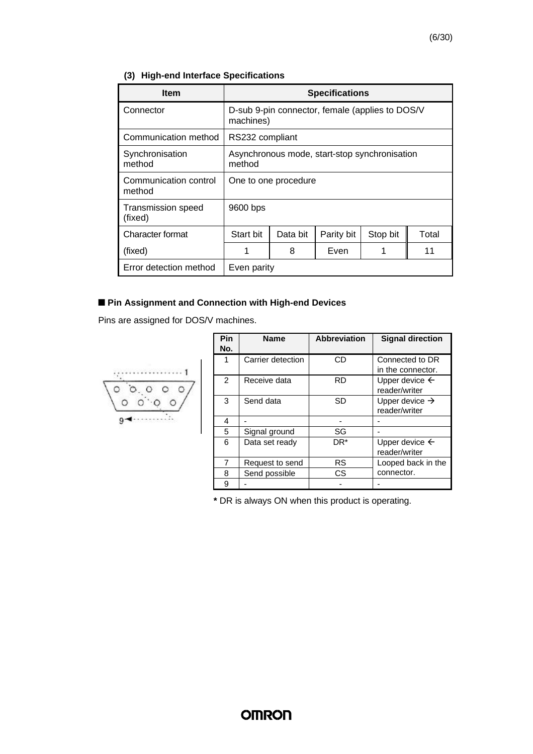### **(3) High-end Interface Specifications**

| <b>Item</b>                     | <b>Specifications</b>                                        |          |            |          |       |  |
|---------------------------------|--------------------------------------------------------------|----------|------------|----------|-------|--|
| Connector                       | D-sub 9-pin connector, female (applies to DOS/V<br>machines) |          |            |          |       |  |
| Communication method            | RS232 compliant                                              |          |            |          |       |  |
| Synchronisation<br>method       | Asynchronous mode, start-stop synchronisation<br>method      |          |            |          |       |  |
| Communication control<br>method | One to one procedure                                         |          |            |          |       |  |
| Transmission speed<br>(fixed)   | 9600 bps                                                     |          |            |          |       |  |
| Character format                | Start bit                                                    | Data bit | Parity bit | Stop bit | Total |  |
| (fixed)                         | 1                                                            | 8        | Even       |          | 11    |  |
| Error detection method          | Even parity                                                  |          |            |          |       |  |

### $\blacksquare$  **Pin Assignment and Connection with High-end Devices**

Pins are assigned for DOS/V machines.



| Pin<br>No.     | <b>Name</b>       | <b>Abbreviation</b> | <b>Signal direction</b>                     |
|----------------|-------------------|---------------------|---------------------------------------------|
| 1              | Carrier detection | CD                  | Connected to DR<br>in the connector.        |
| $\overline{2}$ | Receive data      | <b>RD</b>           | Upper device $\leftarrow$<br>reader/writer  |
| 3              | Send data         | SD                  | Upper device $\rightarrow$<br>reader/writer |
| 4              |                   |                     |                                             |
| 5              | Signal ground     | SG                  |                                             |
| 6              | Data set ready    | $DR*$               | Upper device $\leftarrow$<br>reader/writer  |
| 7              | Request to send   | RS                  | Looped back in the                          |
| 8              | Send possible     | CS                  | connector.                                  |
| 9              |                   |                     |                                             |

**\*** DR is always ON when this product is operating.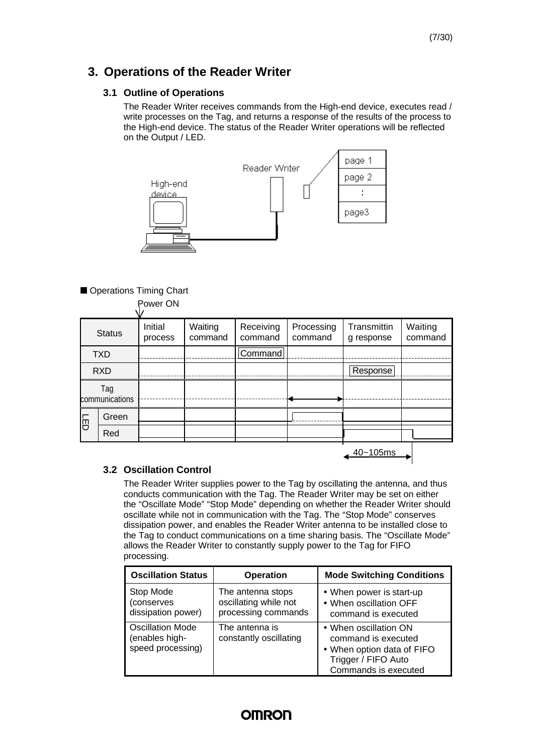### **3. Operations of the Reader Writer**

#### **3.1 Outline of Operations**

The Reader Writer receives commands from the High-end device, executes read / write processes on the Tag, and returns a response of the results of the process to the High-end device. The status of the Reader Writer operations will be reflected on the Output / LED.



#### Operations Timing Chart

|                       |       | Power ON           |                    |                      |                       |                           |                    |
|-----------------------|-------|--------------------|--------------------|----------------------|-----------------------|---------------------------|--------------------|
| <b>Status</b>         |       | Initial<br>process | Waiting<br>command | Receiving<br>command | Processing<br>command | Transmittin<br>g response | Waiting<br>command |
| <b>TXD</b>            |       |                    |                    | Command              |                       |                           |                    |
| <b>RXD</b>            |       |                    |                    |                      |                       | Response                  |                    |
| Tag<br>communications |       |                    |                    |                      |                       |                           |                    |
| 同                     | Green |                    |                    |                      |                       |                           |                    |
|                       | Red   |                    |                    |                      |                       |                           |                    |
|                       |       |                    |                    |                      |                       | $40 - 105$ ms             |                    |

#### **3.2 Oscillation Control**

The Reader Writer supplies power to the Tag by oscillating the antenna, and thus conducts communication with the Tag. The Reader Writer may be set on either the "Oscillate Mode" "Stop Mode" depending on whether the Reader Writer should oscillate while not in communication with the Tag. The "Stop Mode" conserves dissipation power, and enables the Reader Writer antenna to be installed close to the Tag to conduct communications on a time sharing basis. The "Oscillate Mode" allows the Reader Writer to constantly supply power to the Tag for FIFO processing.

| <b>Oscillation Status</b>                                      | <b>Operation</b>                                                  | <b>Mode Switching Conditions</b>                                                                                          |
|----------------------------------------------------------------|-------------------------------------------------------------------|---------------------------------------------------------------------------------------------------------------------------|
| Stop Mode<br>(conserves<br>dissipation power)                  | The antenna stops<br>oscillating while not<br>processing commands | • When power is start-up<br>• When oscillation OFF<br>command is executed                                                 |
| <b>Oscillation Mode</b><br>(enables high-<br>speed processing) | The antenna is<br>constantly oscillating                          | • When oscillation ON<br>command is executed<br>• When option data of FIFO<br>Trigger / FIFO Auto<br>Commands is executed |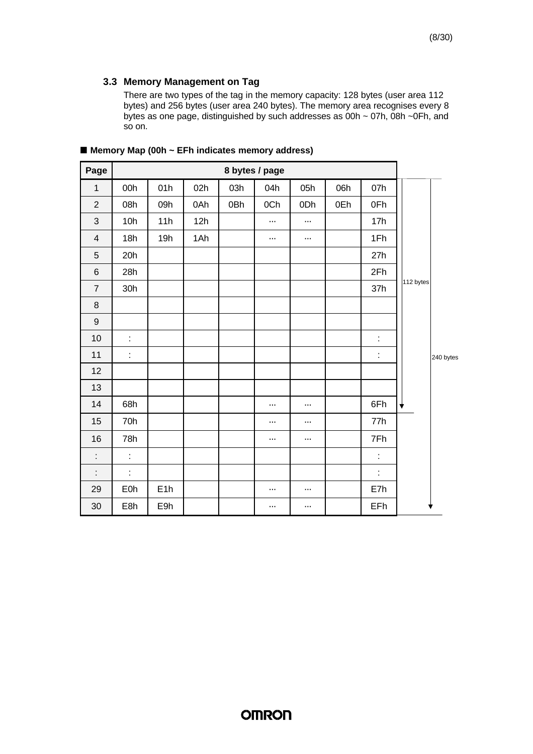There are two types of the tag in the memory capacity: 128 bytes (user area 112 bytes) and 256 bytes (user area 240 bytes). The memory area recognises every 8 bytes as one page, distinguished by such addresses as 00h ~ 07h, 08h ~0Fh, and so on.

| Page             |            |     |     |     | 8 bytes / page |          |     |     |           |           |
|------------------|------------|-----|-----|-----|----------------|----------|-----|-----|-----------|-----------|
| $\mathbf 1$      | 00h        | 01h | 02h | 03h | 04h            | 05h      | 06h | 07h |           |           |
| $\overline{2}$   | 08h        | 09h | 0Ah | 0Bh | 0Ch            | 0Dh      | 0Eh | 0Fh |           |           |
| $\mathfrak{B}$   | 10h        | 11h | 12h |     |                | $\ldots$ |     | 17h |           |           |
| $\overline{4}$   | 18h        | 19h | 1Ah |     | $\cdots$       | $\ldots$ |     | 1Fh |           |           |
| $\sqrt{5}$       | 20h        |     |     |     |                |          |     | 27h |           |           |
| $\,6$            | 28h        |     |     |     |                |          |     | 2Fh |           |           |
| $\overline{7}$   | 30h        |     |     |     |                |          |     | 37h | 112 bytes |           |
| $\,8\,$          |            |     |     |     |                |          |     |     |           |           |
| $\boldsymbol{9}$ |            |     |     |     |                |          |     |     |           |           |
| 10               | t          |     |     |     |                |          |     | t   |           |           |
| 11               | t,         |     |     |     |                |          |     | t   |           | 240 bytes |
| 12               |            |     |     |     |                |          |     |     |           |           |
| 13               |            |     |     |     |                |          |     |     |           |           |
| 14               | 68h        |     |     |     | .              | .        |     | 6Fh | ╈         |           |
| 15               | 70h        |     |     |     | $\cdots$       | $\cdots$ |     | 77h |           |           |
| 16               | 78h        |     |     |     | $\cdots$       | $\cdots$ |     | 7Fh |           |           |
| t                | t          |     |     |     |                |          |     | t   |           |           |
| t                | ÷,         |     |     |     |                |          |     | t   |           |           |
| 29               | <b>E0h</b> | E1h |     |     | .              | $\cdots$ |     | E7h |           |           |
| 30               | E8h        | E9h |     |     | .              | $\cdots$ |     | EFh |           | ♥         |

**n Memory Map (00h ~ EFh indicates memory address)**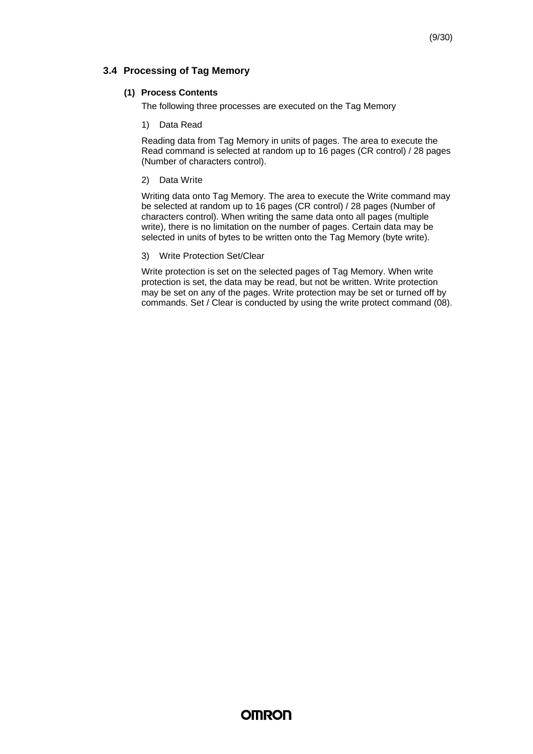#### **3.4 Processing of Tag Memory**

#### **(1) Process Contents**

The following three processes are executed on the Tag Memory

1) Data Read

Reading data from Tag Memory in units of pages. The area to execute the Read command is selected at random up to 16 pages (CR control) / 28 pages (Number of characters control).

2) Data Write

Writing data onto Tag Memory. The area to execute the Write command may be selected at random up to 16 pages (CR control) / 28 pages (Number of characters control). When writing the same data onto all pages (multiple write), there is no limitation on the number of pages. Certain data may be selected in units of bytes to be written onto the Tag Memory (byte write).

#### 3) Write Protection Set/Clear

Write protection is set on the selected pages of Tag Memory. When write protection is set, the data may be read, but not be written. Write protection may be set on any of the pages. Write protection may be set or turned off by commands. Set / Clear is conducted by using the write protect command (08).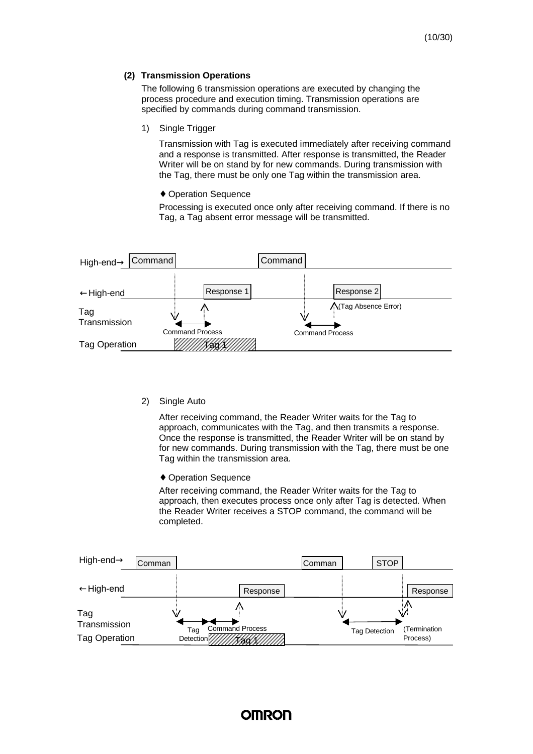#### **(2) Transmission Operations**

The following 6 transmission operations are executed by changing the process procedure and execution timing. Transmission operations are specified by commands during command transmission.

1) Single Trigger

Transmission with Tag is executed immediately after receiving command and a response is transmitted. After response is transmitted, the Reader Writer will be on stand by for new commands. During transmission with the Tag, there must be only one Tag within the transmission area.

♦ Operation Sequence

Processing is executed once only after receiving command. If there is no Tag, a Tag absent error message will be transmitted.



2) Single Auto

After receiving command, the Reader Writer waits for the Tag to approach, communicates with the Tag, and then transmits a response. Once the response is transmitted, the Reader Writer will be on stand by for new commands. During transmission with the Tag, there must be one Tag within the transmission area.

♦ Operation Sequence

After receiving command, the Reader Writer waits for the Tag to approach, then executes process once only after Tag is detected. When the Reader Writer receives a STOP command, the command will be completed.

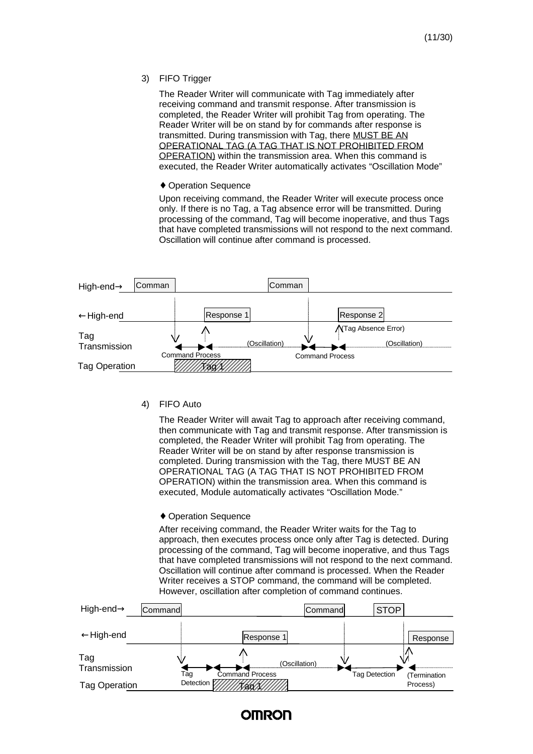3) FIFO Trigger

The Reader Writer will communicate with Tag immediately after receiving command and transmit response. After transmission is completed, the Reader Writer will prohibit Tag from operating. The Reader Writer will be on stand by for commands after response is transmitted. During transmission with Tag, there MUST BE AN OPERATIONAL TAG (A TAG THAT IS NOT PROHIBITED FROM OPERATION) within the transmission area. When this command is executed, the Reader Writer automatically activates "Oscillation Mode"

#### ♦ Operation Sequence

Upon receiving command, the Reader Writer will execute process once only. If there is no Tag, a Tag absence error will be transmitted. During processing of the command, Tag will become inoperative, and thus Tags that have completed transmissions will not respond to the next command. Oscillation will continue after command is processed.



4) FIFO Auto

The Reader Writer will await Tag to approach after receiving command, then communicate with Tag and transmit response. After transmission is completed, the Reader Writer will prohibit Tag from operating. The Reader Writer will be on stand by after response transmission is completed. During transmission with the Tag, there MUST BE AN OPERATIONAL TAG (A TAG THAT IS NOT PROHIBITED FROM OPERATION) within the transmission area. When this command is executed, Module automatically activates "Oscillation Mode."

#### ♦ Operation Sequence

After receiving command, the Reader Writer waits for the Tag to approach, then executes process once only after Tag is detected. During processing of the command, Tag will become inoperative, and thus Tags that have completed transmissions will not respond to the next command. Oscillation will continue after command is processed. When the Reader Writer receives a STOP command, the command will be completed. However, oscillation after completion of command continues.



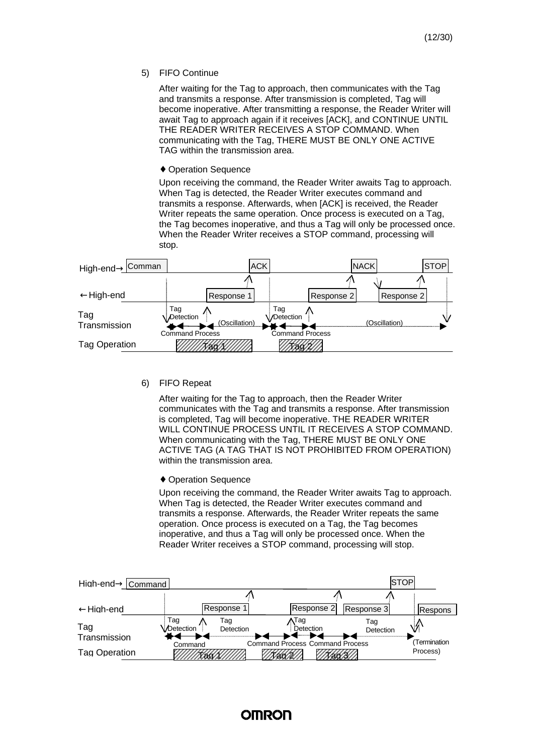5) FIFO Continue

After waiting for the Tag to approach, then communicates with the Tag and transmits a response. After transmission is completed, Tag will become inoperative. After transmitting a response, the Reader Writer will await Tag to approach again if it receives [ACK], and CONTINUE UNTIL THE READER WRITER RECEIVES A STOP COMMAND. When communicating with the Tag, THERE MUST BE ONLY ONE ACTIVE TAG within the transmission area.

♦ Operation Sequence

Upon receiving the command, the Reader Writer awaits Tag to approach. When Tag is detected, the Reader Writer executes command and transmits a response. Afterwards, when [ACK] is received, the Reader Writer repeats the same operation. Once process is executed on a Tag, the Tag becomes inoperative, and thus a Tag will only be processed once. When the Reader Writer receives a STOP command, processing will stop.

| Comman<br>High-end $\rightarrow$ |                        |               | <b>ACK</b>              |            | <b>NACK</b> |               | <b>STOP</b> |
|----------------------------------|------------------------|---------------|-------------------------|------------|-------------|---------------|-------------|
| $\leftarrow$ High-end            |                        | Response 1    |                         | Response 2 |             | Response 2    |             |
|                                  |                        |               |                         |            |             |               |             |
| Tag<br>Transmission              | Tag<br>Detection       | (Oscillation) | Tag<br><b>Detection</b> |            |             | (Oscillation) | ୰           |
| <b>Tag Operation</b>             | <b>Command Process</b> | ,,,,          | <b>Command Process</b>  |            |             |               |             |

6) FIFO Repeat

After waiting for the Tag to approach, then the Reader Writer communicates with the Tag and transmits a response. After transmission is completed, Tag will become inoperative. THE READER WRITER WILL CONTINUE PROCESS UNTIL IT RECEIVES A STOP COMMAND. When communicating with the Tag, THERE MUST BE ONLY ONE ACTIVE TAG (A TAG THAT IS NOT PROHIBITED FROM OPERATION) within the transmission area.

♦ Operation Sequence

Upon receiving the command, the Reader Writer awaits Tag to approach. When Tag is detected, the Reader Writer executes command and transmits a response. Afterwards, the Reader Writer repeats the same operation. Once process is executed on a Tag, the Tag becomes inoperative, and thus a Tag will only be processed once. When the Reader Writer receives a STOP command, processing will stop.

| High-end→ Command                    |                  |                      |                                        |                       |                  | ISTOP  |                         |
|--------------------------------------|------------------|----------------------|----------------------------------------|-----------------------|------------------|--------|-------------------------|
|                                      |                  |                      |                                        |                       |                  |        |                         |
| $\leftarrow$ Hiah-end                |                  | Response             |                                        | Response 2            | Response 3       |        | Respons                 |
| Tag                                  | Tag<br>Detection | Tag<br>Detection     |                                        | ∧Tag<br>Detection<br> | Taq<br>Detection | .4<br> |                         |
| Transmission<br><b>Tag Operation</b> | Command          | ////////460/0/////// | <b>Command Process Command Process</b> |                       |                  |        | Termination<br>Process) |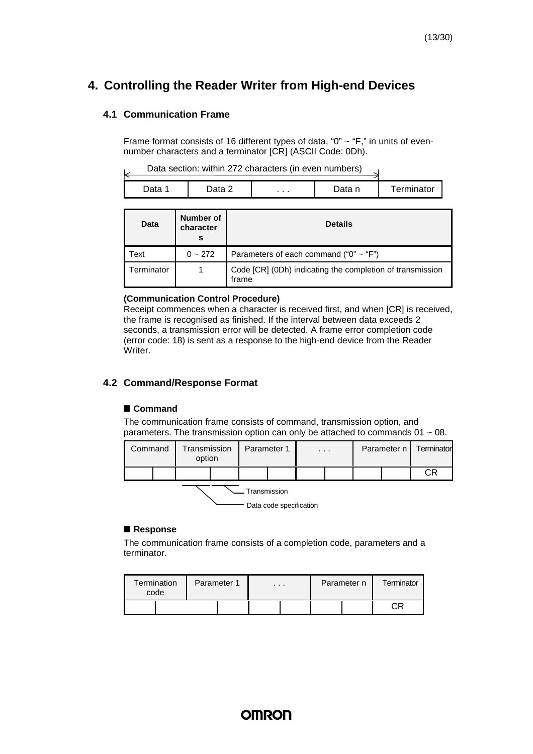### **4. Controlling the Reader Writer from High-end Devices**

#### **4.1 Communication Frame**

Frame format consists of 16 different types of data, "0" ~ "F," in units of evennumber characters and a terminator [CR] (ASCII Code: 0Dh).

| Data section: within 272 characters (in even numbers) |  |
|-------------------------------------------------------|--|
|-------------------------------------------------------|--|

|      |        | Data section. Within 272 characters (in even numbers) |        |                   |
|------|--------|-------------------------------------------------------|--------|-------------------|
| Jata | Data 2 | .                                                     | Data n | <b>Terminator</b> |

| Data       | Number of<br>character<br>s | <b>Details</b>                                                     |
|------------|-----------------------------|--------------------------------------------------------------------|
| ⊺ext       | $0 - 272$                   | Parameters of each command (" $0$ " ~ "F")                         |
| Terminator |                             | Code [CR] (0Dh) indicating the completion of transmission<br>frame |

#### **(Communication Control Procedure)**

Receipt commences when a character is received first, and when [CR] is received, the frame is recognised as finished. If the interval between data exceeds 2 seconds, a transmission error will be detected. A frame error completion code (error code: 18) is sent as a response to the high-end device from the Reader Writer.

#### **4.2 Command/Response Format**

#### **n Command**

The communication frame consists of command, transmission option, and parameters. The transmission option can only be attached to commands 01 ~ 08.

| Command                                 |  | Transmission<br>option |  |  | Parameter 1 |  | $\cdot$ $\cdot$ $\cdot$ |  | Parameter n I | Terminator |  |  |
|-----------------------------------------|--|------------------------|--|--|-------------|--|-------------------------|--|---------------|------------|--|--|
|                                         |  |                        |  |  |             |  |                         |  |               | СR         |  |  |
| Transmission<br>Data code specification |  |                        |  |  |             |  |                         |  |               |            |  |  |

#### **n Response**

The communication frame consists of a completion code, parameters and a terminator.

| Termination<br>code |  | Parameter 1 | $\cdots$ |  | Parameter n | Terminator |
|---------------------|--|-------------|----------|--|-------------|------------|
|                     |  |             |          |  |             |            |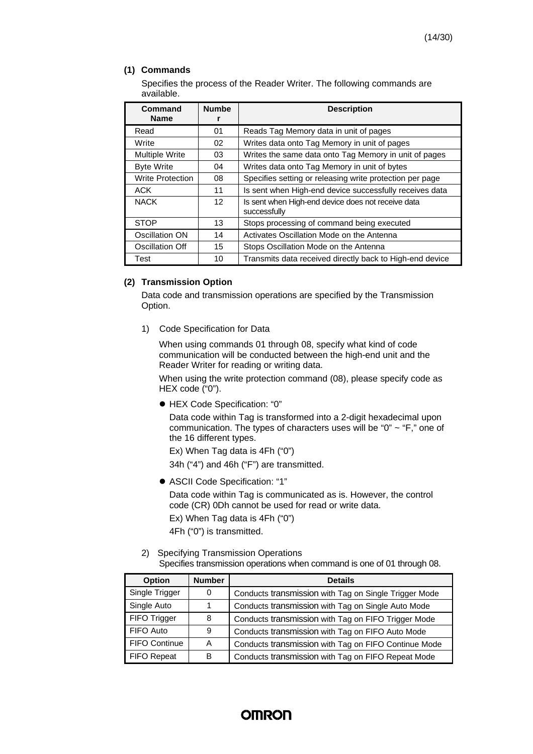#### **(1) Commands**

Specifies the process of the Reader Writer. The following commands are available.

| Command                 | <b>Numbe</b>      | <b>Description</b>                                                 |
|-------------------------|-------------------|--------------------------------------------------------------------|
| <b>Name</b>             | r                 |                                                                    |
| Read                    | 01                | Reads Tag Memory data in unit of pages                             |
| Write                   | 02                | Writes data onto Tag Memory in unit of pages                       |
| <b>Multiple Write</b>   | 03                | Writes the same data onto Tag Memory in unit of pages              |
| <b>Byte Write</b>       | 04                | Writes data onto Tag Memory in unit of bytes                       |
| <b>Write Protection</b> | 08                | Specifies setting or releasing write protection per page           |
| <b>ACK</b>              | 11                | Is sent when High-end device successfully receives data            |
| <b>NACK</b>             | $12 \overline{ }$ | Is sent when High-end device does not receive data<br>successfully |
| <b>STOP</b>             | 13                | Stops processing of command being executed                         |
| Oscillation ON          | 14                | Activates Oscillation Mode on the Antenna                          |
| Oscillation Off         | 15                | Stops Oscillation Mode on the Antenna                              |
| Test                    | 10                | Transmits data received directly back to High-end device           |

#### **(2) Transmission Option**

Data code and transmission operations are specified by the Transmission Option.

1) Code Specification for Data

When using commands 01 through 08, specify what kind of code communication will be conducted between the high-end unit and the Reader Writer for reading or writing data.

When using the write protection command (08), please specify code as HEX code ("0").

l HEX Code Specification: "0"

Data code within Tag is transformed into a 2-digit hexadecimal upon communication. The types of characters uses will be "0" ~ "F," one of the 16 different types.

Ex) When Tag data is 4Fh ("0")

34h ("4") and 46h ("F") are transmitted.

l ASCII Code Specification: "1"

Data code within Tag is communicated as is. However, the control code (CR) 0Dh cannot be used for read or write data.

Ex) When Tag data is 4Fh ("0") 4Fh ("0") is transmitted.

2) Specifying Transmission Operations

Specifies transmission operations when command is one of 01 through 08.

| <b>Option</b>  | <b>Number</b> | <b>Details</b>                                        |  |  |  |  |  |  |
|----------------|---------------|-------------------------------------------------------|--|--|--|--|--|--|
| Single Trigger | 0             | Conducts transmission with Tag on Single Trigger Mode |  |  |  |  |  |  |
| Single Auto    |               | Conducts transmission with Tag on Single Auto Mode    |  |  |  |  |  |  |
| FIFO Trigger   | 8             | Conducts transmission with Tag on FIFO Trigger Mode   |  |  |  |  |  |  |
| FIFO Auto      | 9             | Conducts transmission with Tag on FIFO Auto Mode      |  |  |  |  |  |  |
| FIFO Continue  | A             | Conducts transmission with Tag on FIFO Continue Mode  |  |  |  |  |  |  |
| FIFO Repeat    | B             | Conducts transmission with Tag on FIFO Repeat Mode    |  |  |  |  |  |  |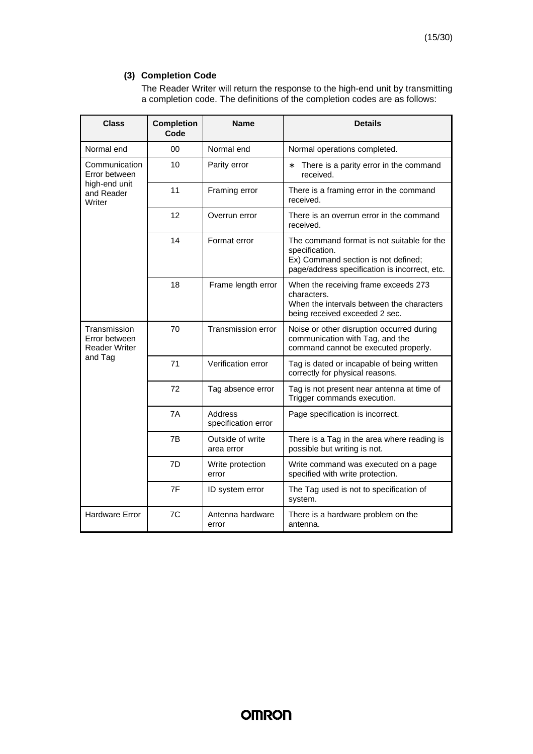#### **(3) Completion Code**

The Reader Writer will return the response to the high-end unit by transmitting a completion code. The definitions of the completion codes are as follows:

| <b>Class</b>                                          | <b>Completion</b><br>Code | <b>Name</b>                    | <b>Details</b>                                                                                                                                       |  |  |  |  |
|-------------------------------------------------------|---------------------------|--------------------------------|------------------------------------------------------------------------------------------------------------------------------------------------------|--|--|--|--|
| Normal end                                            | 00                        | Normal end                     | Normal operations completed.                                                                                                                         |  |  |  |  |
| Communication<br>Error between                        | 10                        | Parity error                   | *<br>There is a parity error in the command<br>received.                                                                                             |  |  |  |  |
| high-end unit<br>and Reader<br>Writer                 | 11                        | Framing error                  | There is a framing error in the command<br>received.                                                                                                 |  |  |  |  |
|                                                       | 12                        | Overrun error                  | There is an overrun error in the command<br>received.                                                                                                |  |  |  |  |
|                                                       | 14                        | Format error                   | The command format is not suitable for the<br>specification.<br>Ex) Command section is not defined;<br>page/address specification is incorrect, etc. |  |  |  |  |
|                                                       | 18                        | Frame length error             | When the receiving frame exceeds 273<br>characters.<br>When the intervals between the characters<br>being received exceeded 2 sec.                   |  |  |  |  |
| Transmission<br>Error between<br><b>Reader Writer</b> | 70                        | Transmission error             | Noise or other disruption occurred during<br>communication with Tag, and the<br>command cannot be executed properly.                                 |  |  |  |  |
| and Tag                                               | 71                        | Verification error             | Tag is dated or incapable of being written<br>correctly for physical reasons.                                                                        |  |  |  |  |
|                                                       | 72                        | Tag absence error              | Tag is not present near antenna at time of<br>Trigger commands execution.                                                                            |  |  |  |  |
|                                                       | 7A                        | Address<br>specification error | Page specification is incorrect.                                                                                                                     |  |  |  |  |
|                                                       | 7B                        | Outside of write<br>area error | There is a Tag in the area where reading is<br>possible but writing is not.                                                                          |  |  |  |  |
|                                                       | 7D                        | Write protection<br>error      | Write command was executed on a page<br>specified with write protection.                                                                             |  |  |  |  |
|                                                       | 7F                        | ID system error                | The Tag used is not to specification of<br>system.                                                                                                   |  |  |  |  |
| <b>Hardware Error</b>                                 | 7C                        | Antenna hardware<br>error      | There is a hardware problem on the<br>antenna.                                                                                                       |  |  |  |  |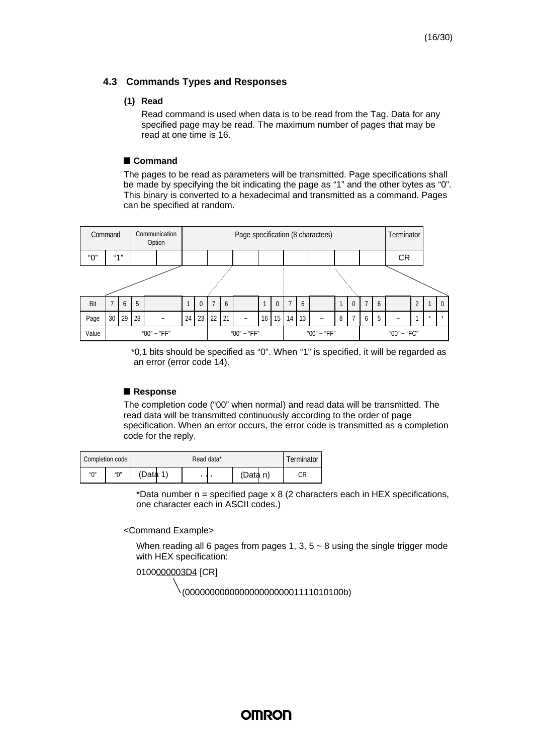#### **4.3 Commands Types and Responses**

#### **(1) Read**

Read command is used when data is to be read from the Tag. Data for any specified page may be read. The maximum number of pages that may be read at one time is 16.

#### **n Command**

The pages to be read as parameters will be transmitted. Page specifications shall be made by specifying the bit indicating the page as "1" and the other bytes as "0". This binary is converted to a hexadecimal and transmitted as a command. Pages can be specified at random.



\*0,1 bits should be specified as "0". When "1" is specified, it will be regarded as an error (error code 14).

#### **n Response**

The completion code ("00" when normal) and read data will be transmitted. The read data will be transmitted continuously according to the order of page specification. When an error occurs, the error code is transmitted as a completion code for the reply.

|                   | Completion code |          | Terminator |          |    |
|-------------------|-----------------|----------|------------|----------|----|
| $^{\prime\prime}$ | ″∩″             | (Data 1) | . .        | (Data n) | СR |

\*Data number  $n =$  specified page x 8 (2 characters each in HEX specifications, one character each in ASCII codes.)

#### <Command Example>

When reading all 6 pages from pages 1, 3,  $5 \sim 8$  using the single trigger mode with HEX specification:

0100000003D4 [CR]

(00000000000000000000001111010100b)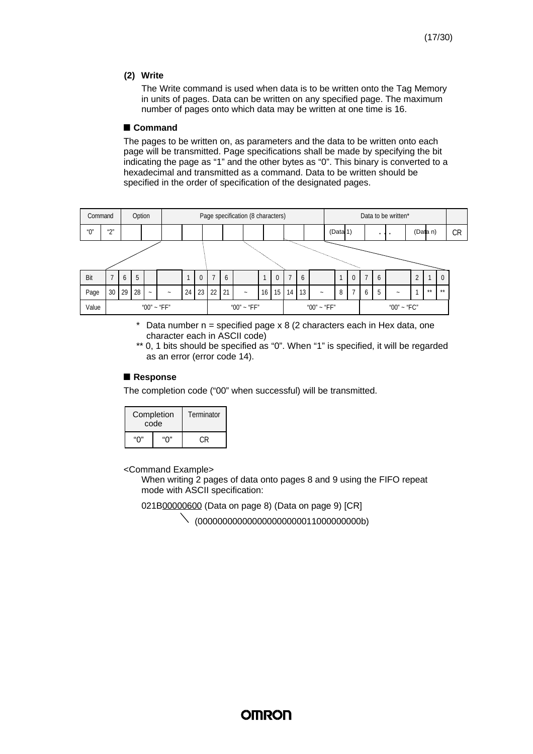#### **(2) Write**

The Write command is used when data is to be written onto the Tag Memory in units of pages. Data can be written on any specified page. The maximum number of pages onto which data may be written at one time is 16.

#### **n Command**

The pages to be written on, as parameters and the data to be written onto each page will be transmitted. Page specifications shall be made by specifying the bit indicating the page as "1" and the other bytes as "0". This binary is converted to a hexadecimal and transmitted as a command. Data to be written should be specified in the order of specification of the designated pages.

|       | Option<br>Command       |    |    |        |        |    |             | Page specification (8 characters) |    |        |                 |             | Data to be written* |    |                           |          |   |             |                |         |   |   |          |          |           |
|-------|-------------------------|----|----|--------|--------|----|-------------|-----------------------------------|----|--------|-----------------|-------------|---------------------|----|---------------------------|----------|---|-------------|----------------|---------|---|---|----------|----------|-----------|
| "0"   | $\mathbf{u} \mathbf{u}$ |    |    |        |        |    |             |                                   |    |        |                 |             |                     |    |                           | (Data 1) |   |             |                | $\cdot$ |   |   | (Data n) |          | <b>CR</b> |
|       |                         |    |    |        |        |    |             |                                   |    |        |                 |             |                     |    |                           |          |   |             |                |         |   |   |          |          |           |
|       |                         |    |    |        |        |    |             |                                   |    |        |                 |             |                     |    |                           |          |   |             |                |         |   |   |          |          |           |
| Bit   | 7                       | 6  | 5  |        |        |    | $\Omega$    |                                   | 6  |        |                 | $\Omega$    |                     | 6  |                           |          |   |             | $\overline{7}$ | 6       |   | ↑ |          | $\Omega$ |           |
| Page  | 30                      | 29 | 28 | $\sim$ | $\sim$ | 24 | 23          | 22                                | 21 | $\sim$ | 16 <sup>1</sup> | 15          | 14 <sup>1</sup>     | 13 | $\widetilde{\phantom{m}}$ |          | 8 |             | 6              | 5       | - |   | $**$     | $**$     |           |
| Value | "00" ~ "FF"             |    |    |        |        |    | "00" ~ "FF" |                                   |    |        |                 | "00" ~ "FF" |                     |    |                           |          |   | "00" ~ "FC" |                |         |   |   |          |          |           |

 $*$  Data number n = specified page x 8 (2 characters each in Hex data, one character each in ASCII code)

\*\* 0, 1 bits should be specified as "0". When "1" is specified, it will be regarded as an error (error code 14).

#### **n Response**

The completion code ("00" when successful) will be transmitted.

|     | Completion<br>code | Terminator |
|-----|--------------------|------------|
| "∩" | "∩"                | י י∩       |

<Command Example>

When writing 2 pages of data onto pages 8 and 9 using the FIFO repeat mode with ASCII specification:

021B00000600 (Data on page 8) (Data on page 9) [CR]

(000000000000000000000011000000000b)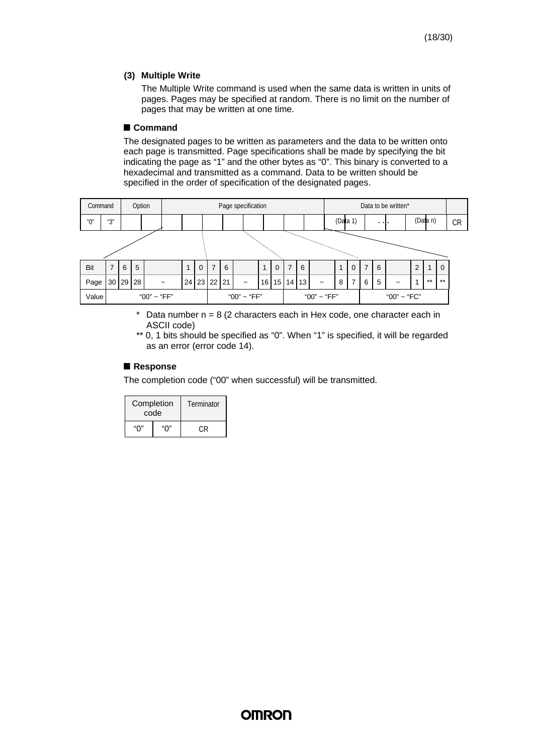#### **(3) Multiple Write**

The Multiple Write command is used when the same data is written in units of pages. Pages may be specified at random. There is no limit on the number of pages that may be written at one time.

#### **n Command**

The designated pages to be written as parameters and the data to be written onto each page is transmitted. Page specifications shall be made by specifying the bit indicating the page as "1" and the other bytes as "0". This binary is converted to a hexadecimal and transmitted as a command. Data to be written should be specified in the order of specification of the designated pages.



 $*$  Data number  $n = 8$  (2 characters each in Hex code, one character each in ASCII code)

\*\* 0, 1 bits should be specified as "0". When "1" is specified, it will be regarded as an error (error code 14).

#### **n Response**

The completion code ("00" when successful) will be transmitted.

|     | Completion<br>code | Terminator |
|-----|--------------------|------------|
| "∩" | "∩"                |            |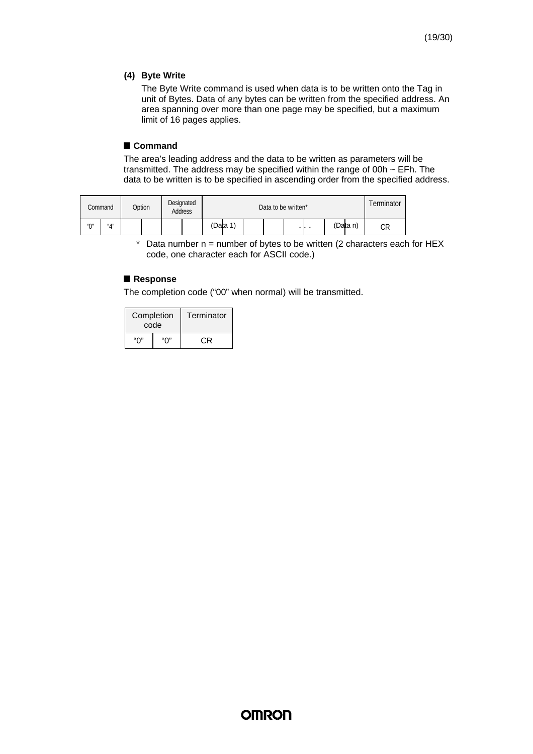#### **(4) Byte Write**

The Byte Write command is used when data is to be written onto the Tag in unit of Bytes. Data of any bytes can be written from the specified address. An area spanning over more than one page may be specified, but a maximum limit of 16 pages applies.

#### **n Command**

The area's leading address and the data to be written as parameters will be transmitted. The address may be specified within the range of 00h ~ EFh. The data to be written is to be specified in ascending order from the specified address.

| Command           |     | Option |  | Designated<br>Address |  | Data to be written* |  |  |  |  |  |          | erminator |  |
|-------------------|-----|--------|--|-----------------------|--|---------------------|--|--|--|--|--|----------|-----------|--|
| $^{\prime\prime}$ | "∆" |        |  |                       |  | (Data 1)            |  |  |  |  |  | (Data n) | СR        |  |

 $*$  Data number n = number of bytes to be written (2 characters each for HEX code, one character each for ASCII code.)

#### **n Response**

The completion code ("00" when normal) will be transmitted.

| Completion<br>code |     | Terminator |
|--------------------|-----|------------|
| "∩"                | "∩" | C.R        |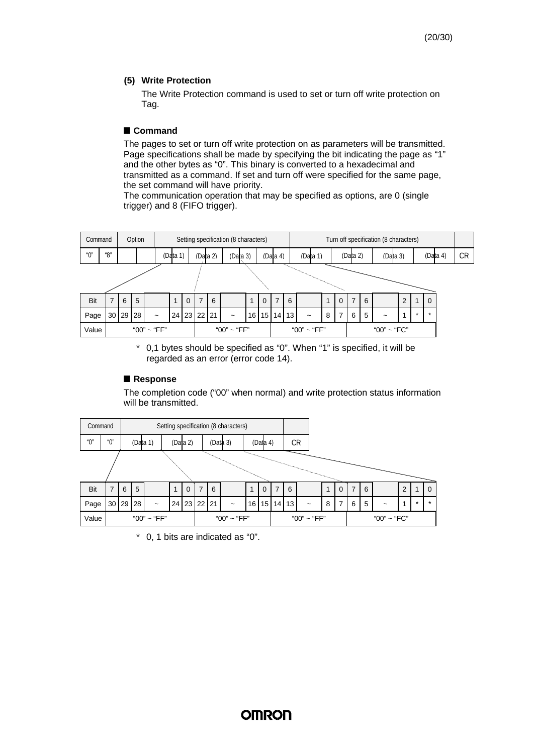#### **(5) Write Protection**

The Write Protection command is used to set or turn off write protection on Tag.

#### **n Command**

The pages to set or turn off write protection on as parameters will be transmitted. Page specifications shall be made by specifying the bit indicating the page as "1" and the other bytes as "0". This binary is converted to a hexadecimal and transmitted as a command. If set and turn off were specified for the same page, the set command will have priority.

The communication operation that may be specified as options, are 0 (single trigger) and 8 (FIFO trigger).



\* 0,1 bytes should be specified as "0". When "1" is specified, it will be regarded as an error (error code 14).

#### **n Response**

The completion code ("00" when normal) and write protection status information will be transmitted.

| Command |         |   |       |                       |  |          |   |             | Setting specification (8 characters) |                 |          |   |       |                       |   |   |   |             |   |             |
|---------|---------|---|-------|-----------------------|--|----------|---|-------------|--------------------------------------|-----------------|----------|---|-------|-----------------------|---|---|---|-------------|---|-------------|
| "0"     | " $0$ " |   |       | (Data 1)              |  | (Data 2) |   |             | (Data 3)                             |                 | (Data 4) |   |       | CR                    |   |   |   |             |   |             |
|         |         |   |       |                       |  |          |   |             |                                      |                 |          |   |       |                       |   |   |   |             |   |             |
|         |         |   |       |                       |  |          |   |             |                                      |                 |          |   |       |                       |   |   |   |             |   |             |
| Bit     | 7       | 6 | 5     |                       |  | $\Omega$ | 7 | 6           |                                      |                 | $\Omega$ | 7 | 6     |                       | ◢ | 7 | 6 |             | 2 | $\mathbf 0$ |
| Page    | 30      |   | 29 28 | $\tilde{\phantom{a}}$ |  |          |   | 24 23 22 21 | ∼                                    | 16 <sup>1</sup> | 15       |   | 14 13 | $\tilde{\phantom{a}}$ | 8 | 6 | 5 | ~           | 4 | $\star$     |
| Value   |         |   |       | "00" ~ "FF"           |  |          |   |             | "00" ~ "FF"                          |                 |          |   |       | "00" ~ "FF"           |   |   |   | "00" ~ "FC" |   |             |

\* 0, 1 bits are indicated as "0".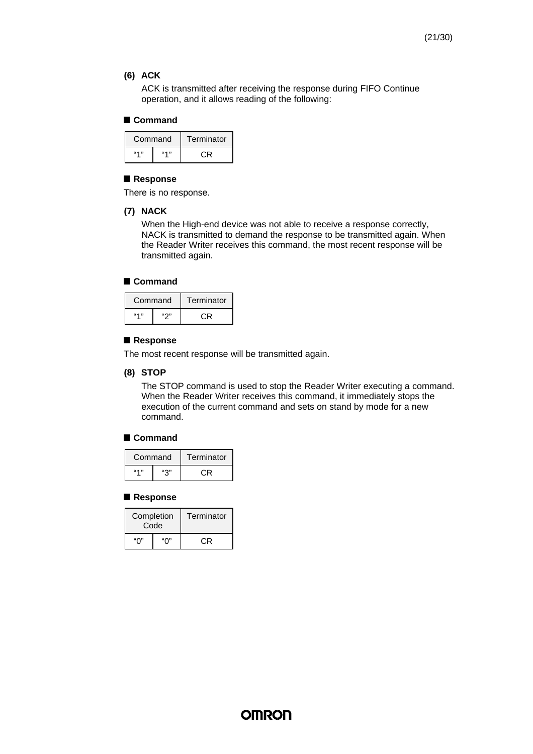#### **(6) ACK**

ACK is transmitted after receiving the response during FIFO Continue operation, and it allows reading of the following:

#### **n Command**

| Command |         | Terminator |
|---------|---------|------------|
| 6411    | 66 4 33 |            |

#### **n Response**

There is no response.

#### **(7) NACK**

When the High-end device was not able to receive a response correctly, NACK is transmitted to demand the response to be transmitted again. When the Reader Writer receives this command, the most recent response will be transmitted again.

#### **n Command**

| Command   |     | Terminator |
|-----------|-----|------------|
| $66 - 11$ | ແຕກ |            |

#### **n Response**

The most recent response will be transmitted again.

#### **(8) STOP**

The STOP command is used to stop the Reader Writer executing a command. When the Reader Writer receives this command, it immediately stops the execution of the current command and sets on stand by mode for a new command.

#### **n Command**

| Command   |     | Terminator |
|-----------|-----|------------|
| $66 - 11$ | "ລ" | ب ∙        |

#### **n Response**

| Completion | Code | Terminator |
|------------|------|------------|
| "∩"        | "∩"  | C.R        |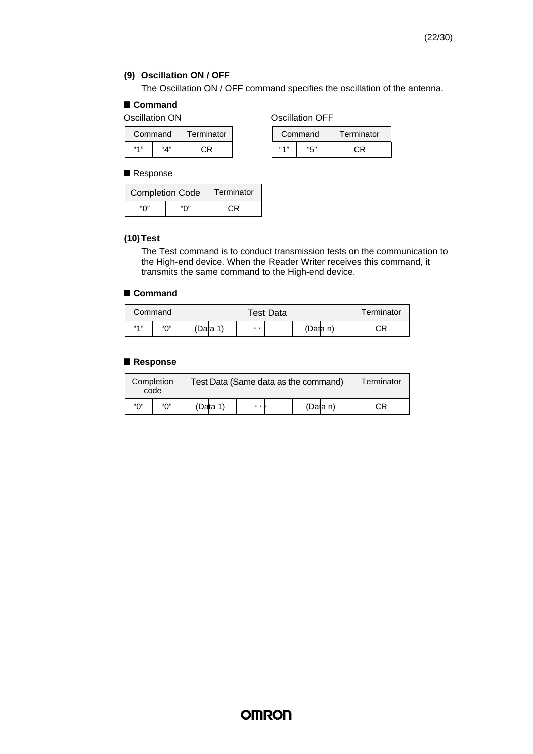#### **(9) Oscillation ON / OFF**

The Oscillation ON / OFF command specifies the oscillation of the antenna.

### **n Command**

Oscillation ON **OSCILLA** Oscillation OFF

|         | Command | Terminator |         | Command | Termin |  |
|---------|---------|------------|---------|---------|--------|--|
| 66.4.33 | ``A"    | םי         | 66.4.33 | "5"     |        |  |

|                | Command | Terminator | Command        |     | Terminator |  |
|----------------|---------|------------|----------------|-----|------------|--|
| 66 <b>A</b> 33 | ``A"    |            | <b>66.4.33</b> | "5" | םי         |  |

#### ■ Response

| <b>Completion Code</b> | Terminator |     |
|------------------------|------------|-----|
| "∩"                    | "∩"        | C.R |

#### **(10)Test**

The Test command is to conduct transmission tests on the communication to the High-end device. When the Reader Writer receives this command, it transmits the same command to the High-end device.

#### **n Command**

| Command   |           |         | Test Data       | Terminator |       |    |    |
|-----------|-----------|---------|-----------------|------------|-------|----|----|
| $66 - 11$ | $``\cap"$ | 'Data 1 | $\cdot$ $\cdot$ |            | 'Data | n) | СR |

#### **n Response**

| Completion | code |          | Test Data (Same data as the command) |  |          | Terminator |
|------------|------|----------|--------------------------------------|--|----------|------------|
| "∩"        | "∩"  | (Data 1) |                                      |  | (Data n) | CR         |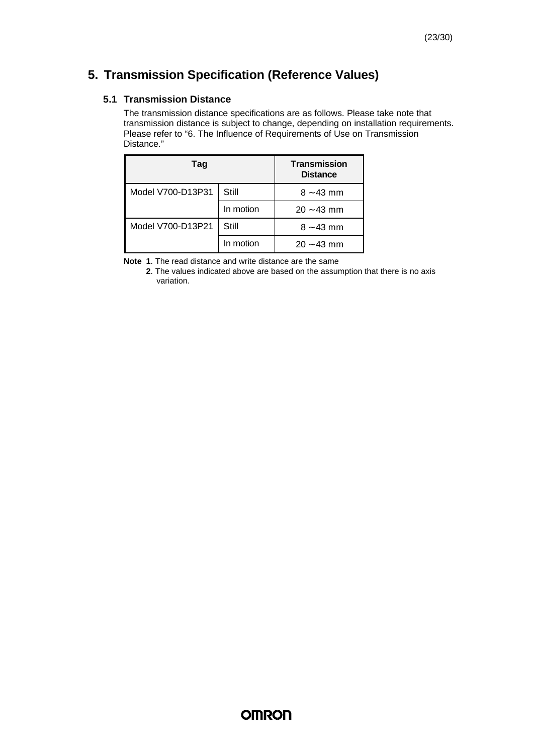### **5. Transmission Specification (Reference Values)**

#### **5.1 Transmission Distance**

The transmission distance specifications are as follows. Please take note that transmission distance is subject to change, depending on installation requirements. Please refer to "6. The Influence of Requirements of Use on Transmission Distance."

| Tag               | <b>Transmission</b><br><b>Distance</b> |              |
|-------------------|----------------------------------------|--------------|
| Model V700-D13P31 | Still                                  | $8 - 43$ mm  |
|                   | In motion                              | $20 - 43$ mm |
| Model V700-D13P21 | Still                                  | $8 - 43$ mm  |
|                   | In motion                              | $20 - 43$ mm |

**Note 1**. The read distance and write distance are the same

**2**. The values indicated above are based on the assumption that there is no axis variation.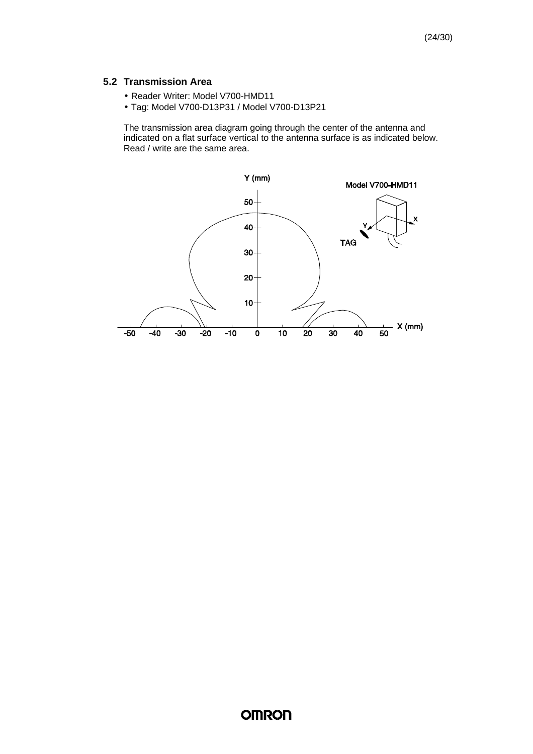#### **5.2 Transmission Area**

- Reader Writer: Model V700-HMD11
- Tag: Model V700-D13P31 / Model V700-D13P21

The transmission area diagram going through the center of the antenna and indicated on a flat surface vertical to the antenna surface is as indicated below. Read / write are the same area.

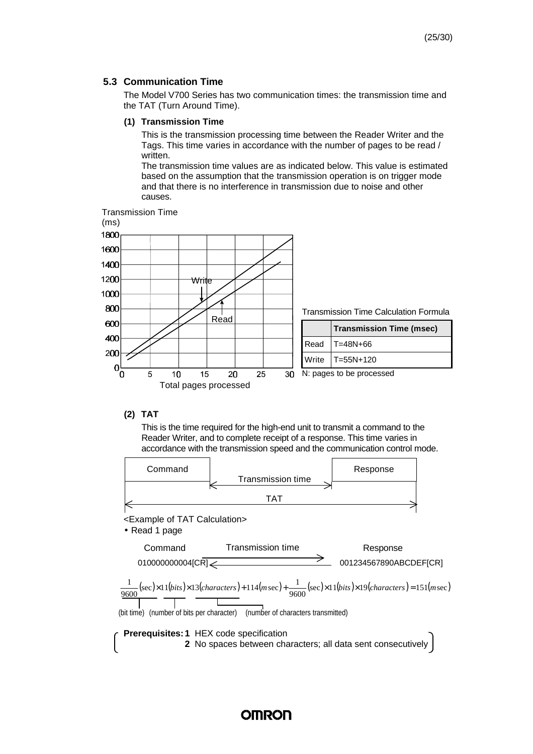#### **5.3 Communication Time**

The Model V700 Series has two communication times: the transmission time and the TAT (Turn Around Time).

#### **(1) Transmission Time**

This is the transmission processing time between the Reader Writer and the Tags. This time varies in accordance with the number of pages to be read / written.

The transmission time values are as indicated below. This value is estimated based on the assumption that the transmission operation is on trigger mode and that there is no interference in transmission due to noise and other causes.



#### **(2) TAT**

This is the time required for the high-end unit to transmit a command to the Reader Writer, and to complete receipt of a response. This time varies in accordance with the transmission speed and the communication control mode.

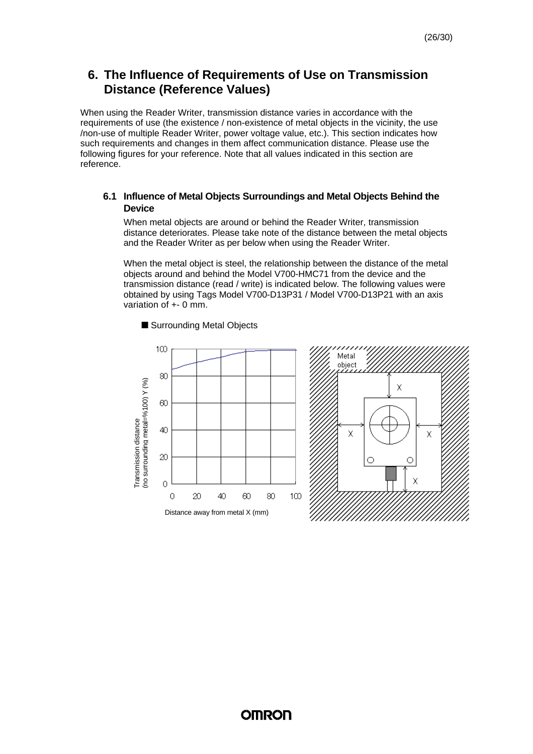### **6. The Influence of Requirements of Use on Transmission Distance (Reference Values)**

When using the Reader Writer, transmission distance varies in accordance with the requirements of use (the existence / non-existence of metal objects in the vicinity, the use /non-use of multiple Reader Writer, power voltage value, etc.). This section indicates how such requirements and changes in them affect communication distance. Please use the following figures for your reference. Note that all values indicated in this section are reference.

#### **6.1 Influence of Metal Objects Surroundings and Metal Objects Behind the Device**

When metal objects are around or behind the Reader Writer, transmission distance deteriorates. Please take note of the distance between the metal objects and the Reader Writer as per below when using the Reader Writer.

When the metal object is steel, the relationship between the distance of the metal objects around and behind the Model V700-HMC71 from the device and the transmission distance (read / write) is indicated below. The following values were obtained by using Tags Model V700-D13P31 / Model V700-D13P21 with an axis variation of +- 0 mm.



■ Surrounding Metal Objects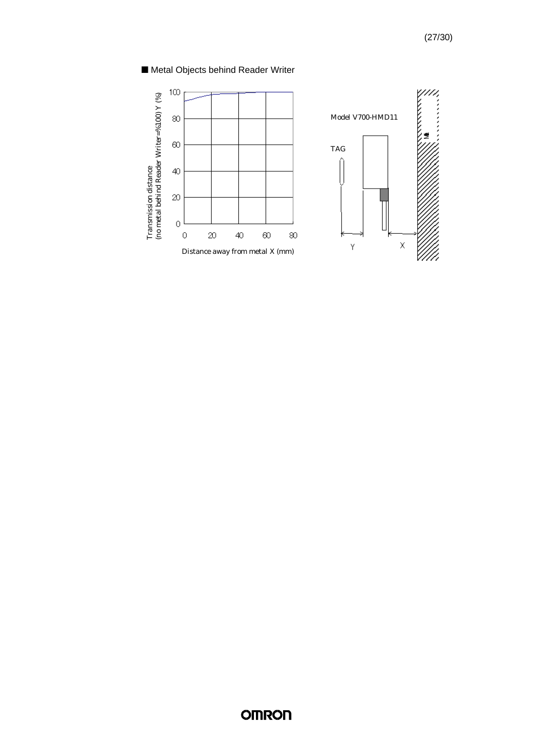### ■ Metal Objects behind Reader Writer

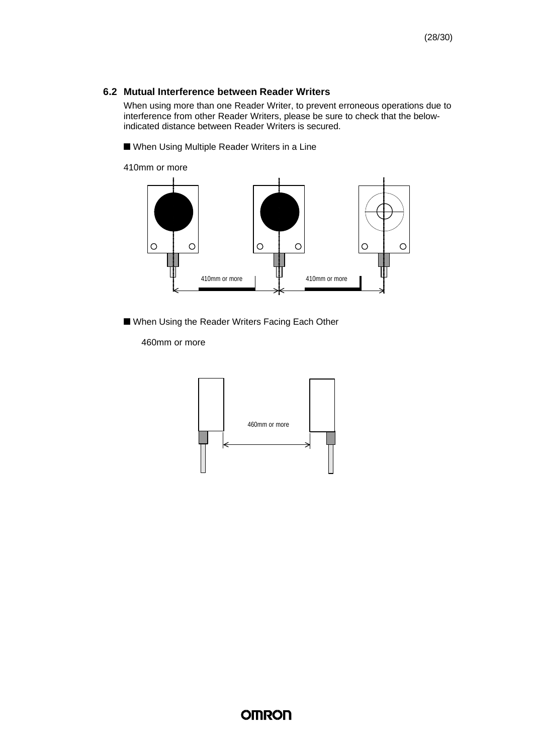#### **6.2 Mutual Interference between Reader Writers**

When using more than one Reader Writer, to prevent erroneous operations due to interference from other Reader Writers, please be sure to check that the belowindicated distance between Reader Writers is secured.

■ When Using Multiple Reader Writers in a Line

410mm or more



■ When Using the Reader Writers Facing Each Other

460mm or more

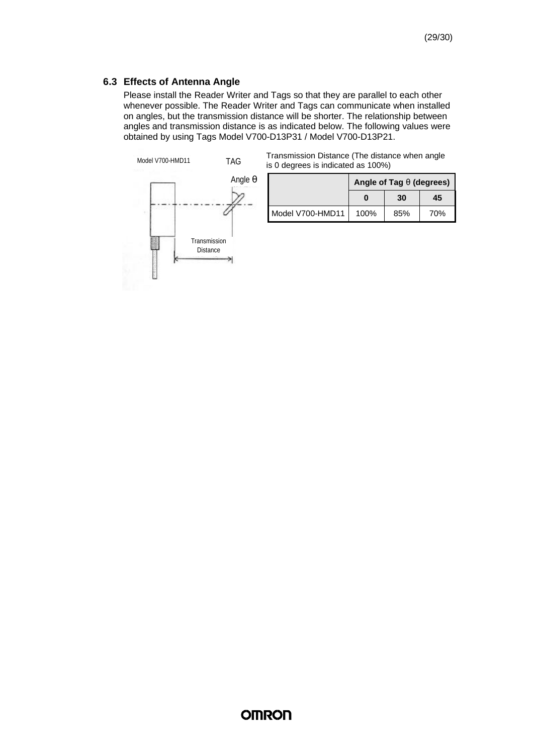#### **6.3 Effects of Antenna Angle**

Please install the Reader Writer and Tags so that they are parallel to each other whenever possible. The Reader Writer and Tags can communicate when installed on angles, but the transmission distance will be shorter. The relationship between angles and transmission distance is as indicated below. The following values were obtained by using Tags Model V700-D13P31 / Model V700-D13P21.



|                                    | Transmission Distance (The distance when angle |
|------------------------------------|------------------------------------------------|
| is 0 degrees is indicated as 100%) |                                                |

|                  | Angle of Tag q (degrees) |     |     |
|------------------|--------------------------|-----|-----|
|                  |                          | 30  | 45  |
| Model V700-HMD11 | 100%                     | 85% | 70% |